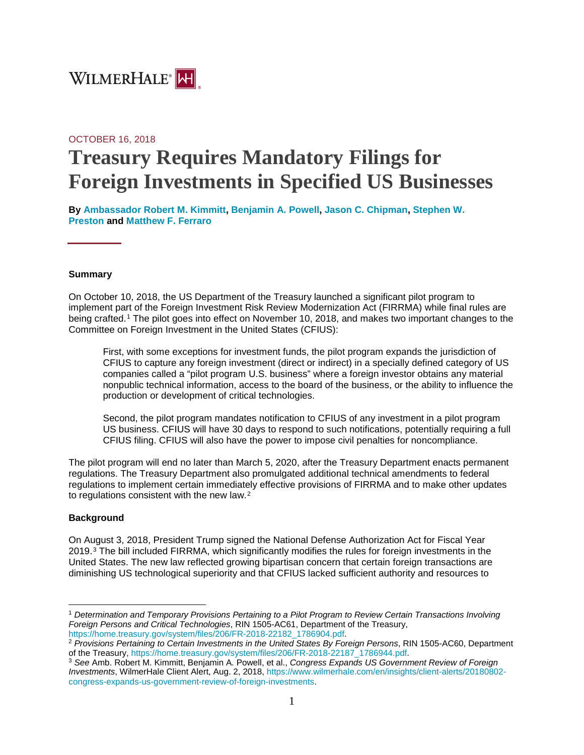

# OCTOBER 16, 2018 **Treasury Requires Mandatory Filings for Foreign Investments in Specified US Businesses**

**By [Ambassador Robert M. Kimmitt,](https://www.wilmerhale.com/en/people/robert-kimmitt) [Benjamin A. Powell,](https://www.wilmerhale.com/en/people/benjamin-powell) [Jason C. Chipman,](https://www.wilmerhale.com/en/people/jason-chipman) [Stephen W.](https://www.wilmerhale.com/en/people/stephen-preston)  [Preston](https://www.wilmerhale.com/en/people/stephen-preston) and [Matthew F. Ferraro](https://www.wilmerhale.com/en/people/matthew-ferraro)**

#### **Summary**

On October 10, 2018, the US Department of the Treasury launched a significant pilot program to implement part of the Foreign Investment Risk Review Modernization Act (FIRRMA) while final rules are being crafted.[1](#page-0-0) The pilot goes into effect on November 10, 2018, and makes two important changes to the Committee on Foreign Investment in the United States (CFIUS):

First, with some exceptions for investment funds, the pilot program expands the jurisdiction of CFIUS to capture any foreign investment (direct or indirect) in a specially defined category of US companies called a "pilot program U.S. business" where a foreign investor obtains any material nonpublic technical information, access to the board of the business, or the ability to influence the production or development of critical technologies.

Second, the pilot program mandates notification to CFIUS of any investment in a pilot program US business. CFIUS will have 30 days to respond to such notifications, potentially requiring a full CFIUS filing. CFIUS will also have the power to impose civil penalties for noncompliance.

The pilot program will end no later than March 5, 2020, after the Treasury Department enacts permanent regulations. The Treasury Department also promulgated additional technical amendments to federal regulations to implement certain immediately effective provisions of FIRRMA and to make other updates to regulations consistent with the new law.<sup>[2](#page-0-1)</sup>

#### **Background**

On August 3, 2018, President Trump signed the National Defense Authorization Act for Fiscal Year 2019.[3](#page-0-2) The bill included FIRRMA, which significantly modifies the rules for foreign investments in the United States. The new law reflected growing bipartisan concern that certain foreign transactions are diminishing US technological superiority and that CFIUS lacked sufficient authority and resources to

<span id="page-0-0"></span> $\overline{a}$ <sup>1</sup> *Determination and Temporary Provisions Pertaining to a Pilot Program to Review Certain Transactions Involving Foreign Persons and Critical Technologies*, RIN 1505-AC61, Department of the Treasury,

<span id="page-0-1"></span>[https://home.treasury.gov/system/files/206/FR-2018-22182\\_1786904.pdf.](https://home.treasury.gov/system/files/206/FR-2018-22182_1786904.pdf)<br><sup>2</sup> *Provisions Pertaining to Certain Investments in the United States By Foreign Persons*, RIN 1505-AC60, Department<br>of the Treasury, https://home.trea

<span id="page-0-2"></span><sup>&</sup>lt;sup>3</sup> See Amb. Robert M. Kimmitt, Benjamin A. Powell, et al., *Congress Expands US Government Review of Foreign Investments*, WilmerHale Client Alert, Aug. 2, 2018[, https://www.wilmerhale.com/en/insights/client-alerts/20180802](https://www.wilmerhale.com/en/insights/client-alerts/20180802-congress-expands-us-government-review-of-foreign-investments) [congress-expands-us-government-review-of-foreign-investments.](https://www.wilmerhale.com/en/insights/client-alerts/20180802-congress-expands-us-government-review-of-foreign-investments)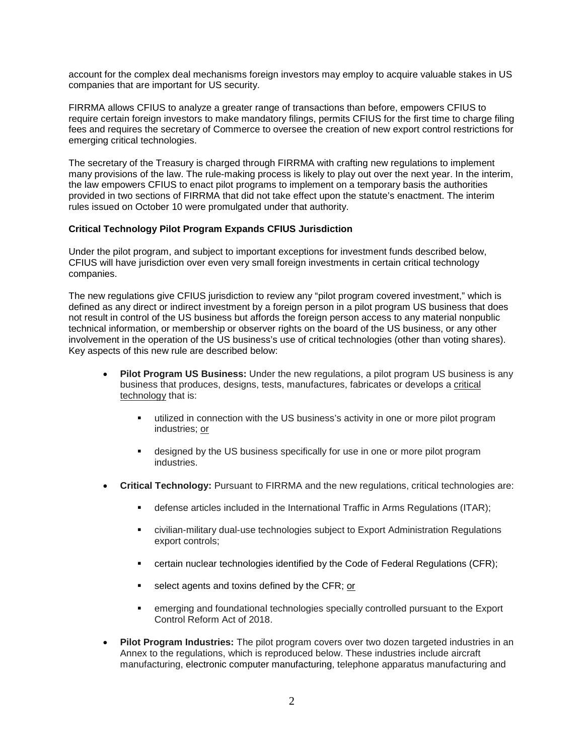account for the complex deal mechanisms foreign investors may employ to acquire valuable stakes in US companies that are important for US security.

FIRRMA allows CFIUS to analyze a greater range of transactions than before, empowers CFIUS to require certain foreign investors to make mandatory filings, permits CFIUS for the first time to charge filing fees and requires the secretary of Commerce to oversee the creation of new export control restrictions for emerging critical technologies.

The secretary of the Treasury is charged through FIRRMA with crafting new regulations to implement many provisions of the law. The rule-making process is likely to play out over the next year. In the interim, the law empowers CFIUS to enact pilot programs to implement on a temporary basis the authorities provided in two sections of FIRRMA that did not take effect upon the statute's enactment. The interim rules issued on October 10 were promulgated under that authority.

## **Critical Technology Pilot Program Expands CFIUS Jurisdiction**

Under the pilot program, and subject to important exceptions for investment funds described below, CFIUS will have jurisdiction over even very small foreign investments in certain critical technology companies.

The new regulations give CFIUS jurisdiction to review any "pilot program covered investment," which is defined as any direct or indirect investment by a foreign person in a pilot program US business that does not result in control of the US business but affords the foreign person access to any material nonpublic technical information, or membership or observer rights on the board of the US business, or any other involvement in the operation of the US business's use of critical technologies (other than voting shares). Key aspects of this new rule are described below:

- **Pilot Program US Business:** Under the new regulations, a pilot program US business is any business that produces, designs, tests, manufactures, fabricates or develops a critical technology that is:
	- utilized in connection with the US business's activity in one or more pilot program industries; or
	- designed by the US business specifically for use in one or more pilot program industries.
- **Critical Technology:** Pursuant to FIRRMA and the new regulations, critical technologies are:
	- defense articles included in the International Traffic in Arms Regulations (ITAR);
	- civilian-military dual-use technologies subject to Export Administration Regulations export controls;
	- certain nuclear technologies identified by the Code of Federal Regulations (CFR);
	- $\blacksquare$  select agents and toxins defined by the CFR; or
	- emerging and foundational technologies specially controlled pursuant to the Export Control Reform Act of 2018.
- **Pilot Program Industries:** The pilot program covers over two dozen targeted industries in an Annex to the regulations, which is reproduced below. These industries include aircraft manufacturing, electronic computer manufacturing, telephone apparatus manufacturing and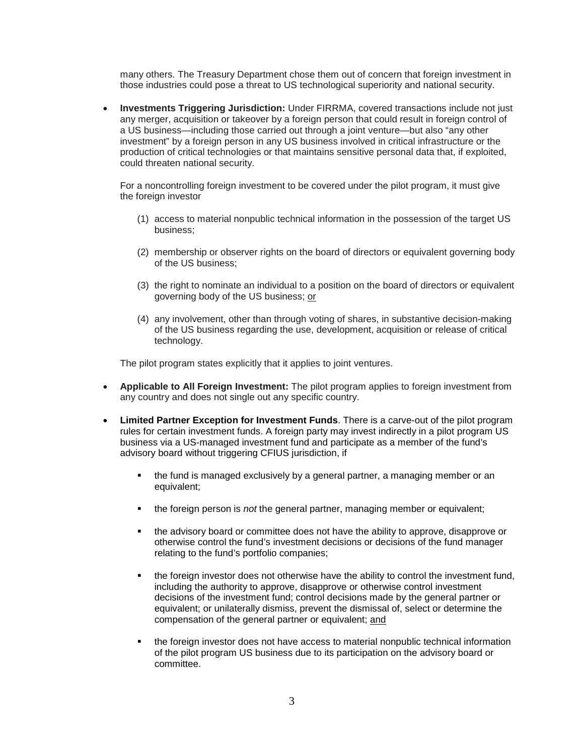many others. The Treasury Department chose them out of concern that foreign investment in those industries could pose a threat to US technological superiority and national security.

• **Investments Triggering Jurisdiction:** Under FIRRMA, covered transactions include not just any merger, acquisition or takeover by a foreign person that could result in foreign control of a US business—including those carried out through a joint venture—but also "any other investment" by a foreign person in any US business involved in critical infrastructure or the production of critical technologies or that maintains sensitive personal data that, if exploited, could threaten national security.

For a noncontrolling foreign investment to be covered under the pilot program, it must give the foreign investor

- (1) access to material nonpublic technical information in the possession of the target US business;
- (2) membership or observer rights on the board of directors or equivalent governing body of the US business;
- (3) the right to nominate an individual to a position on the board of directors or equivalent governing body of the US business; or
- (4) any involvement, other than through voting of shares, in substantive decision-making of the US business regarding the use, development, acquisition or release of critical technology.

The pilot program states explicitly that it applies to joint ventures.

- **Applicable to All Foreign Investment:** The pilot program applies to foreign investment from any country and does not single out any specific country.
- **Limited Partner Exception for Investment Funds**. There is a carve-out of the pilot program rules for certain investment funds. A foreign party may invest indirectly in a pilot program US business via a US-managed investment fund and participate as a member of the fund's advisory board without triggering CFIUS jurisdiction, if
	- the fund is managed exclusively by a general partner, a managing member or an equivalent;
	- the foreign person is *not* the general partner, managing member or equivalent;
	- the advisory board or committee does not have the ability to approve, disapprove or otherwise control the fund's investment decisions or decisions of the fund manager relating to the fund's portfolio companies;
	- the foreign investor does not otherwise have the ability to control the investment fund, including the authority to approve, disapprove or otherwise control investment decisions of the investment fund; control decisions made by the general partner or equivalent; or unilaterally dismiss, prevent the dismissal of, select or determine the compensation of the general partner or equivalent; and
	- the foreign investor does not have access to material nonpublic technical information of the pilot program US business due to its participation on the advisory board or committee.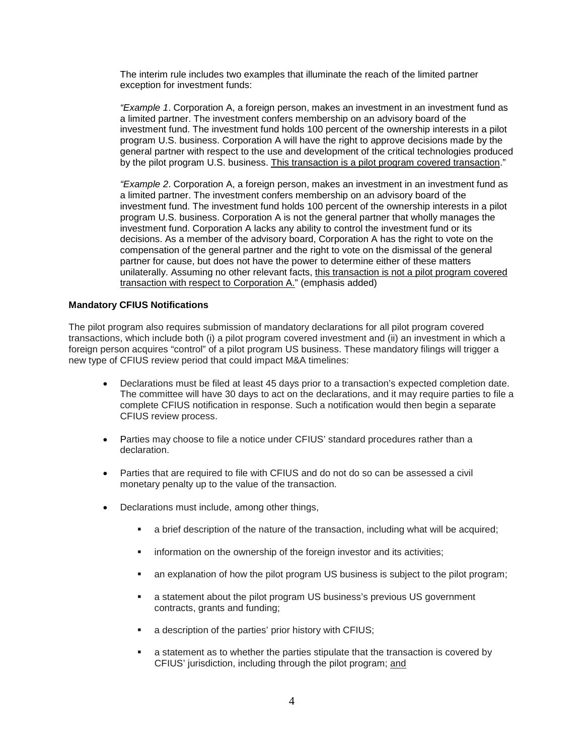The interim rule includes two examples that illuminate the reach of the limited partner exception for investment funds:

*"Example 1*. Corporation A, a foreign person, makes an investment in an investment fund as a limited partner. The investment confers membership on an advisory board of the investment fund. The investment fund holds 100 percent of the ownership interests in a pilot program U.S. business. Corporation A will have the right to approve decisions made by the general partner with respect to the use and development of the critical technologies produced by the pilot program U.S. business. This transaction is a pilot program covered transaction."

*"Example 2*. Corporation A, a foreign person, makes an investment in an investment fund as a limited partner. The investment confers membership on an advisory board of the investment fund. The investment fund holds 100 percent of the ownership interests in a pilot program U.S. business. Corporation A is not the general partner that wholly manages the investment fund. Corporation A lacks any ability to control the investment fund or its decisions. As a member of the advisory board, Corporation A has the right to vote on the compensation of the general partner and the right to vote on the dismissal of the general partner for cause, but does not have the power to determine either of these matters unilaterally. Assuming no other relevant facts, this transaction is not a pilot program covered transaction with respect to Corporation A." (emphasis added)

## **Mandatory CFIUS Notifications**

The pilot program also requires submission of mandatory declarations for all pilot program covered transactions, which include both (i) a pilot program covered investment and (ii) an investment in which a foreign person acquires "control" of a pilot program US business. These mandatory filings will trigger a new type of CFIUS review period that could impact M&A timelines:

- Declarations must be filed at least 45 days prior to a transaction's expected completion date. The committee will have 30 days to act on the declarations, and it may require parties to file a complete CFIUS notification in response. Such a notification would then begin a separate CFIUS review process.
- Parties may choose to file a notice under CFIUS' standard procedures rather than a declaration.
- Parties that are required to file with CFIUS and do not do so can be assessed a civil monetary penalty up to the value of the transaction.
- Declarations must include, among other things,
	- a brief description of the nature of the transaction, including what will be acquired;
	- **EXECT** information on the ownership of the foreign investor and its activities;
	- an explanation of how the pilot program US business is subject to the pilot program;
	- a statement about the pilot program US business's previous US government contracts, grants and funding;
	- a description of the parties' prior history with CFIUS;
	- a statement as to whether the parties stipulate that the transaction is covered by CFIUS' jurisdiction, including through the pilot program; and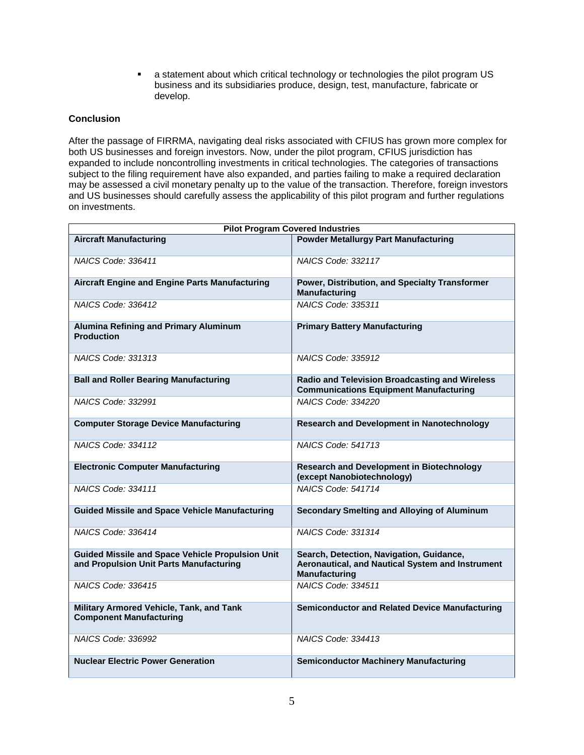a statement about which critical technology or technologies the pilot program US business and its subsidiaries produce, design, test, manufacture, fabricate or develop.

## **Conclusion**

After the passage of FIRRMA, navigating deal risks associated with CFIUS has grown more complex for both US businesses and foreign investors. Now, under the pilot program, CFIUS jurisdiction has expanded to include noncontrolling investments in critical technologies. The categories of transactions subject to the filing requirement have also expanded, and parties failing to make a required declaration may be assessed a civil monetary penalty up to the value of the transaction. Therefore, foreign investors and US businesses should carefully assess the applicability of this pilot program and further regulations on investments.

| <b>Pilot Program Covered Industries</b>                                                            |                                                                                                                      |
|----------------------------------------------------------------------------------------------------|----------------------------------------------------------------------------------------------------------------------|
| <b>Aircraft Manufacturing</b>                                                                      | <b>Powder Metallurgy Part Manufacturing</b>                                                                          |
| NAICS Code: 336411                                                                                 | NAICS Code: 332117                                                                                                   |
| <b>Aircraft Engine and Engine Parts Manufacturing</b>                                              | Power, Distribution, and Specialty Transformer<br><b>Manufacturing</b>                                               |
| NAICS Code: 336412                                                                                 | NAICS Code: 335311                                                                                                   |
| <b>Alumina Refining and Primary Aluminum</b><br><b>Production</b>                                  | <b>Primary Battery Manufacturing</b>                                                                                 |
| NAICS Code: 331313                                                                                 | NAICS Code: 335912                                                                                                   |
| <b>Ball and Roller Bearing Manufacturing</b>                                                       | Radio and Television Broadcasting and Wireless<br><b>Communications Equipment Manufacturing</b>                      |
| NAICS Code: 332991                                                                                 | NAICS Code: 334220                                                                                                   |
| <b>Computer Storage Device Manufacturing</b>                                                       | <b>Research and Development in Nanotechnology</b>                                                                    |
| NAICS Code: 334112                                                                                 | NAICS Code: 541713                                                                                                   |
| <b>Electronic Computer Manufacturing</b>                                                           | <b>Research and Development in Biotechnology</b><br>(except Nanobiotechnology)                                       |
| NAICS Code: 334111                                                                                 | <b>NAICS Code: 541714</b>                                                                                            |
| <b>Guided Missile and Space Vehicle Manufacturing</b>                                              | Secondary Smelting and Alloying of Aluminum                                                                          |
| NAICS Code: 336414                                                                                 | NAICS Code: 331314                                                                                                   |
| <b>Guided Missile and Space Vehicle Propulsion Unit</b><br>and Propulsion Unit Parts Manufacturing | Search, Detection, Navigation, Guidance,<br>Aeronautical, and Nautical System and Instrument<br><b>Manufacturing</b> |
| NAICS Code: 336415                                                                                 | NAICS Code: 334511                                                                                                   |
| Military Armored Vehicle, Tank, and Tank<br><b>Component Manufacturing</b>                         | <b>Semiconductor and Related Device Manufacturing</b>                                                                |
| NAICS Code: 336992                                                                                 | NAICS Code: 334413                                                                                                   |
| <b>Nuclear Electric Power Generation</b>                                                           | <b>Semiconductor Machinery Manufacturing</b>                                                                         |